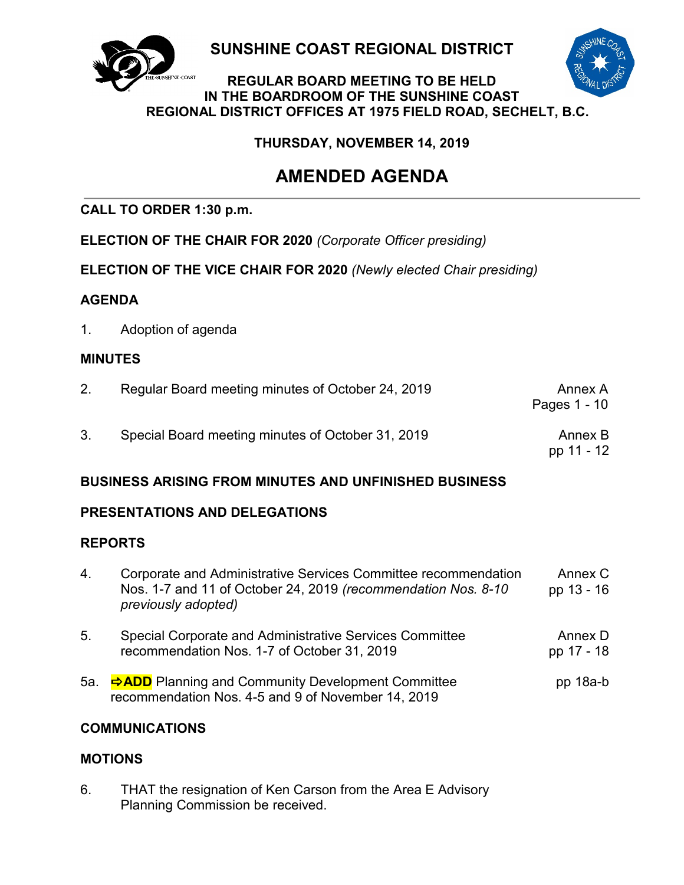

**SUNSHINE COAST REGIONAL DISTRICT**

### **REGULAR BOARD MEETING TO BE HELD IN THE BOARDROOM OF THE SUNSHINE COAST REGIONAL DISTRICT OFFICES AT 1975 FIELD ROAD, SECHELT, B.C.**

# **THURSDAY, NOVEMBER 14, 2019**

# **AMENDED AGENDA**

# **CALL TO ORDER 1:30 p.m.**

**ELECTION OF THE CHAIR FOR 2020** *(Corporate Officer presiding)*

**ELECTION OF THE VICE CHAIR FOR 2020** *(Newly elected Chair presiding)*

# **AGENDA**

1. Adoption of agenda

# **MINUTES**

| Annex A<br>Pages 1 - 10 | Regular Board meeting minutes of October 24, 2019 |  |
|-------------------------|---------------------------------------------------|--|
| Annex B<br>pp 11 - 12   | Special Board meeting minutes of October 31, 2019 |  |

# **BUSINESS ARISING FROM MINUTES AND UNFINISHED BUSINESS**

# **PRESENTATIONS AND DELEGATIONS**

# **REPORTS**

| 4.  | Corporate and Administrative Services Committee recommendation<br>Nos. 1-7 and 11 of October 24, 2019 (recommendation Nos. 8-10<br>previously adopted) | Annex C<br>pp 13 - 16 |
|-----|--------------------------------------------------------------------------------------------------------------------------------------------------------|-----------------------|
| 5.  | Special Corporate and Administrative Services Committee<br>recommendation Nos. 1-7 of October 31, 2019                                                 | Annex D<br>pp 17 - 18 |
| 5a. | <b>⇒ADD</b> Planning and Community Development Committee<br>recommendation Nos. 4-5 and 9 of November 14, 2019                                         | $pp$ 18a-b            |

# **COMMUNICATIONS**

# **MOTIONS**

6. THAT the resignation of Ken Carson from the Area E Advisory Planning Commission be received.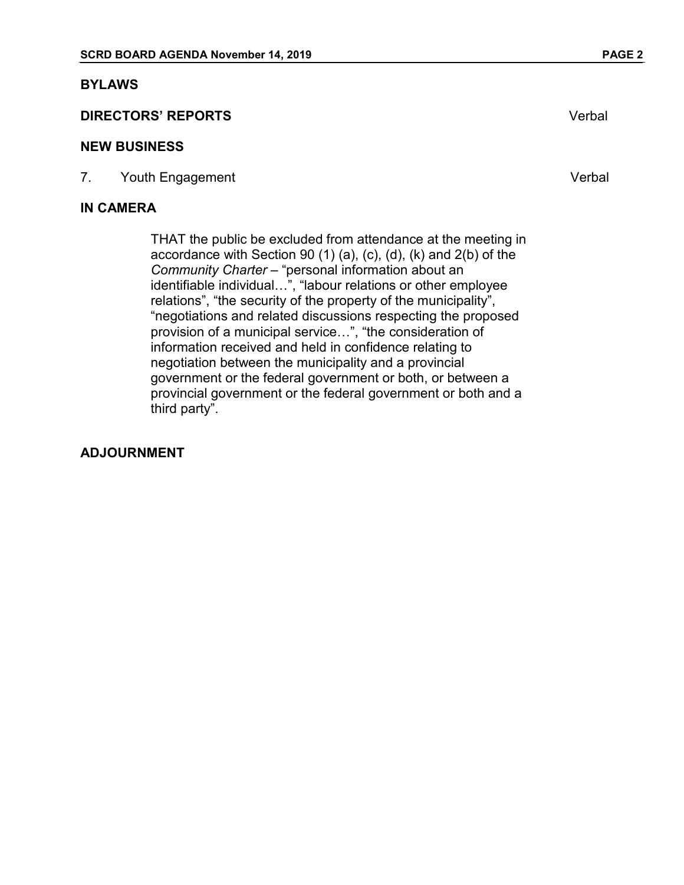#### **BYLAWS**

### **DIRECTORS' REPORTS** Verbal

#### **NEW BUSINESS**

7. Youth Engagement **Verbal** 

#### **IN CAMERA**

THAT the public be excluded from attendance at the meeting in accordance with Section 90 (1) (a), (c), (d), (k) and 2(b) of the *Community Charter* – "personal information about an identifiable individual…", "labour relations or other employee relations", "the security of the property of the municipality", "negotiations and related discussions respecting the proposed provision of a municipal service…", "the consideration of information received and held in confidence relating to negotiation between the municipality and a provincial government or the federal government or both, or between a provincial government or the federal government or both and a third party".

### **ADJOURNMENT**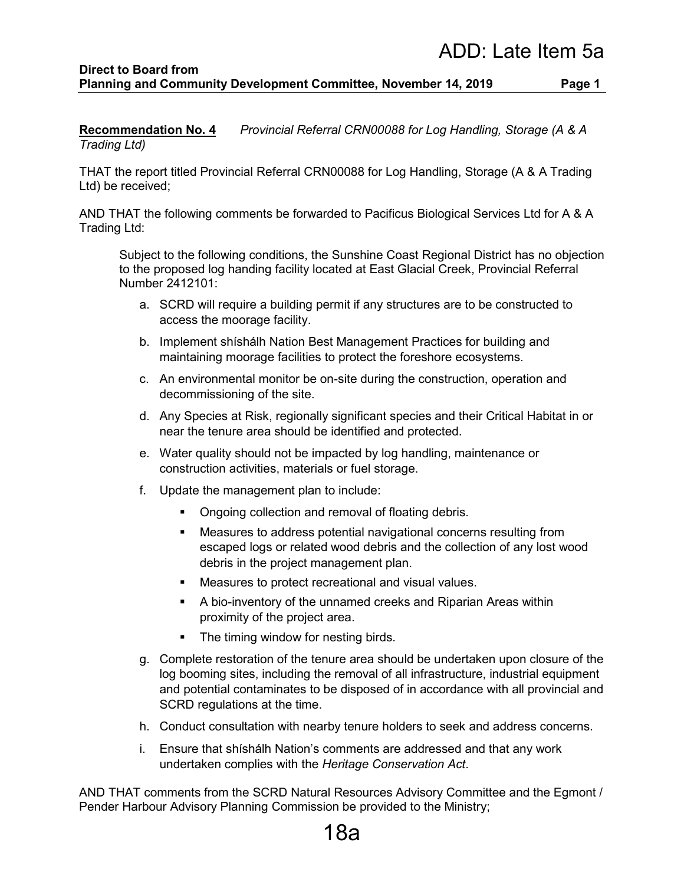#### **Direct to Board from Planning and Community Development Committee, November 14, 2019 Page 1**

**Recommendation No. 4** *Provincial Referral CRN00088 for Log Handling, Storage (A & A Trading Ltd)*

THAT the report titled Provincial Referral CRN00088 for Log Handling, Storage (A & A Trading Ltd) be received;

AND THAT the following comments be forwarded to Pacificus Biological Services Ltd for A & A Trading Ltd:

Subject to the following conditions, the Sunshine Coast Regional District has no objection to the proposed log handing facility located at East Glacial Creek, Provincial Referral Number 2412101:

- a. SCRD will require a building permit if any structures are to be constructed to access the moorage facility.
- b. Implement shíshálh Nation Best Management Practices for building and maintaining moorage facilities to protect the foreshore ecosystems.
- c. An environmental monitor be on-site during the construction, operation and decommissioning of the site.
- d. Any Species at Risk, regionally significant species and their Critical Habitat in or near the tenure area should be identified and protected.
- e. Water quality should not be impacted by log handling, maintenance or construction activities, materials or fuel storage.
- f. Update the management plan to include:
	- Ongoing collection and removal of floating debris.
	- Measures to address potential navigational concerns resulting from escaped logs or related wood debris and the collection of any lost wood debris in the project management plan.
	- **Measures to protect recreational and visual values.**
	- A bio-inventory of the unnamed creeks and Riparian Areas within proximity of the project area.
	- The timing window for nesting birds.
- g. Complete restoration of the tenure area should be undertaken upon closure of the log booming sites, including the removal of all infrastructure, industrial equipment and potential contaminates to be disposed of in accordance with all provincial and SCRD regulations at the time.
- h. Conduct consultation with nearby tenure holders to seek and address concerns.
- i. Ensure that shíshálh Nation's comments are addressed and that any work undertaken complies with the *Heritage Conservation Act*.

AND THAT comments from the SCRD Natural Resources Advisory Committee and the Egmont / Pender Harbour Advisory Planning Commission be provided to the Ministry;